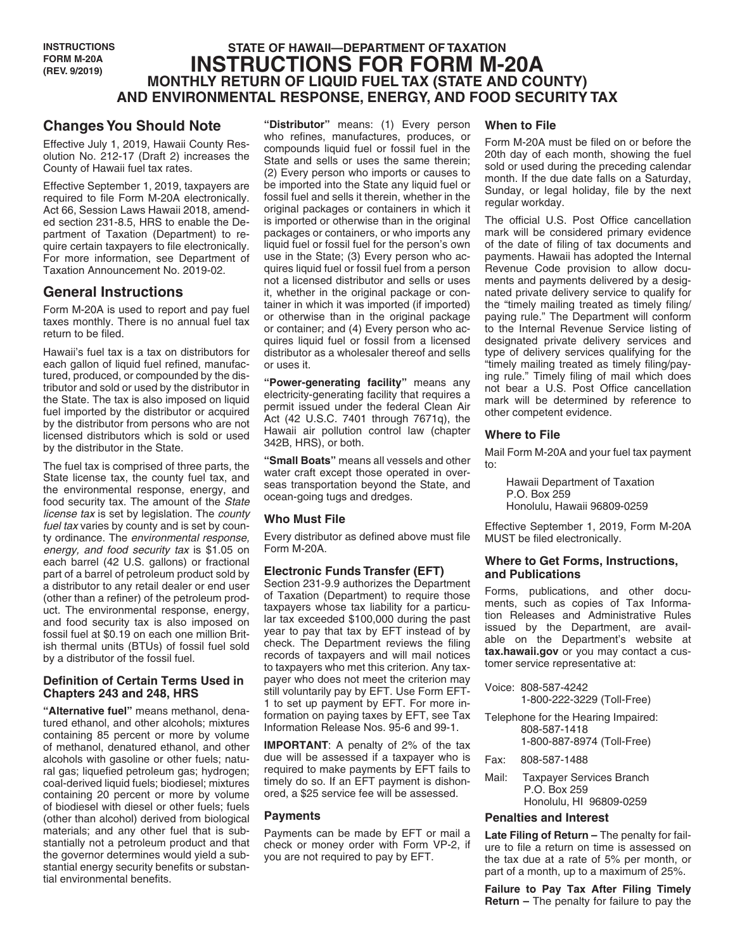# **STATE OF HAWAII—DEPARTMENT OF TAXATION INSTRUCTIONS FOR FORM M-20A MONTHLY RETURN OF LIQUID FUEL TAX (STATE AND COUNTY) AND ENVIRONMENTAL RESPONSE, ENERGY, AND FOOD SECURITY TAX**

# **Changes You Should Note**

Effective July 1, 2019, Hawaii County Resolution No. 212-17 (Draft 2) increases the County of Hawaii fuel tax rates.

Effective September 1, 2019, taxpayers are required to file Form M-20A electronically. Act 66, Session Laws Hawaii 2018, amended section 231-8.5, HRS to enable the Department of Taxation (Department) to require certain taxpayers to file electronically. For more information, see Department of Taxation Announcement No. 2019-02.

# **General Instructions**

Form M-20A is used to report and pay fuel taxes monthly. There is no annual fuel tax return to be filed.

Hawaii's fuel tax is a tax on distributors for each gallon of liquid fuel refined, manufactured, produced, or compounded by the distributor and sold or used by the distributor in the State. The tax is also imposed on liquid fuel imported by the distributor or acquired by the distributor from persons who are not licensed distributors which is sold or used by the distributor in the State.

The fuel tax is comprised of three parts, the State license tax, the county fuel tax, and the environmental response, energy, and food security tax. The amount of the *State license tax* is set by legislation. The *county fuel tax* varies by county and is set by county ordinance. The *environmental response, energy, and food security tax* is \$1.05 on each barrel (42 U.S. gallons) or fractional part of a barrel of petroleum product sold by a distributor to any retail dealer or end user (other than a refiner) of the petroleum product. The environmental response, energy, and food security tax is also imposed on fossil fuel at \$0.19 on each one million British thermal units (BTUs) of fossil fuel sold by a distributor of the fossil fuel.

## **Definition of Certain Terms Used in Chapters 243 and 248, HRS**

**"Alternative fuel"** means methanol, denatured ethanol, and other alcohols; mixtures containing 85 percent or more by volume of methanol, denatured ethanol, and other alcohols with gasoline or other fuels; natural gas; liquefied petroleum gas; hydrogen; coal-derived liquid fuels; biodiesel; mixtures containing 20 percent or more by volume of biodiesel with diesel or other fuels; fuels (other than alcohol) derived from biological materials; and any other fuel that is substantially not a petroleum product and that the governor determines would yield a substantial energy security benefits or substantial environmental benefits.

**"Distributor"** means: (1) Every person who refines, manufactures, produces, or compounds liquid fuel or fossil fuel in the State and sells or uses the same therein; (2) Every person who imports or causes to be imported into the State any liquid fuel or fossil fuel and sells it therein, whether in the original packages or containers in which it is imported or otherwise than in the original packages or containers, or who imports any liquid fuel or fossil fuel for the person's own use in the State; (3) Every person who acquires liquid fuel or fossil fuel from a person not a licensed distributor and sells or uses it, whether in the original package or container in which it was imported (if imported) or otherwise than in the original package or container; and (4) Every person who acquires liquid fuel or fossil from a licensed distributor as a wholesaler thereof and sells or uses it.

**"Power-generating facility"** means any electricity-generating facility that requires a permit issued under the federal Clean Air Act (42 U.S.C. 7401 through 7671q), the Hawaii air pollution control law (chapter 342B, HRS), or both.

**"Small Boats"** means all vessels and other water craft except those operated in overseas transportation beyond the State, and ocean-going tugs and dredges.

# **Who Must File**

Every distributor as defined above must file Form M-20A.

## **Electronic Funds Transfer (EFT)**

Section 231-9.9 authorizes the Department of Taxation (Department) to require those taxpayers whose tax liability for a particular tax exceeded \$100,000 during the past year to pay that tax by EFT instead of by check. The Department reviews the filing records of taxpayers and will mail notices to taxpayers who met this criterion. Any taxpayer who does not meet the criterion may still voluntarily pay by EFT. Use Form EFT-1 to set up payment by EFT. For more information on paying taxes by EFT, see Tax Information Release Nos. 95-6 and 99-1.

**IMPORTANT**: A penalty of 2% of the tax due will be assessed if a taxpayer who is required to make payments by EFT fails to timely do so. If an EFT payment is dishonored, a \$25 service fee will be assessed.

## **Payments**

Payments can be made by EFT or mail a check or money order with Form VP-2, if you are not required to pay by EFT.

## **When to File**

Form M-20A must be filed on or before the 20th day of each month, showing the fuel sold or used during the preceding calendar month. If the due date falls on a Saturday, Sunday, or legal holiday, file by the next regular workday.

The official U.S. Post Office cancellation mark will be considered primary evidence of the date of filing of tax documents and payments. Hawaii has adopted the Internal Revenue Code provision to allow documents and payments delivered by a designated private delivery service to qualify for the "timely mailing treated as timely filing/ paying rule." The Department will conform to the Internal Revenue Service listing of designated private delivery services and type of delivery services qualifying for the "timely mailing treated as timely filing/paying rule." Timely filing of mail which does not bear a U.S. Post Office cancellation mark will be determined by reference to other competent evidence.

## **Where to File**

Mail Form M-20A and your fuel tax payment to:

Hawaii Department of Taxation P.O. Box 259 Honolulu, Hawaii 96809-0259

Effective September 1, 2019, Form M-20A MUST be filed electronically.

## **Where to Get Forms, Instructions, and Publications**

Forms, publications, and other documents, such as copies of Tax Information Releases and Administrative Rules issued by the Department, are available on the Department's website at **tax.hawaii.gov** or you may contact a customer service representative at:

Voice: 808-587-4242 1-800-222-3229 (Toll-Free)

- Telephone for the Hearing Impaired: 808-587-1418 1-800-887-8974 (Toll-Free)
- Fax: 808-587-1488
- Mail: Taxpayer Services Branch P.O. Box 259 Honolulu, HI 96809-0259

## **Penalties and Interest**

**Late Filing of Return –** The penalty for failure to file a return on time is assessed on the tax due at a rate of 5% per month, or part of a month, up to a maximum of 25%.

**Failure to Pay Tax After Filing Timely Return –** The penalty for failure to pay the